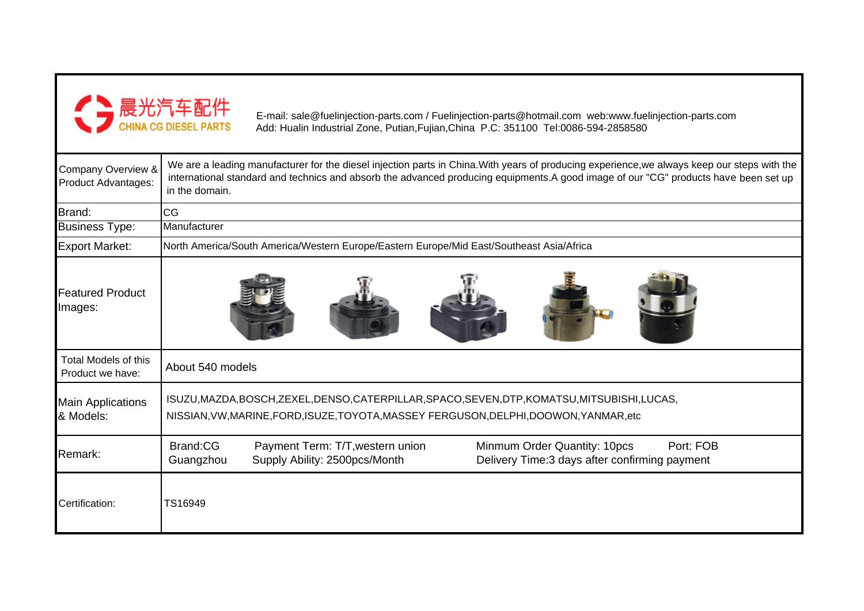

E-mail: sale@fuelinjection-parts.com / Fuelinjection-parts@hotmail.com web:www.fuelinjection-parts.com Add: Hualin Industrial Zone, Putian,Fujian,China P.C: 351100 Tel:0086-594-2858580

| Company Overview &<br>Product Advantages:       | We are a leading manufacturer for the diesel injection parts in China. With years of producing experience, we always keep our steps with the<br>international standard and technics and absorb the advanced producing equipments.A good image of our "CG" products have been set up<br>in the domain. |  |  |  |  |  |  |  |  |
|-------------------------------------------------|-------------------------------------------------------------------------------------------------------------------------------------------------------------------------------------------------------------------------------------------------------------------------------------------------------|--|--|--|--|--|--|--|--|
| Brand:                                          | CG                                                                                                                                                                                                                                                                                                    |  |  |  |  |  |  |  |  |
| <b>Business Type:</b>                           | Manufacturer                                                                                                                                                                                                                                                                                          |  |  |  |  |  |  |  |  |
| <b>Export Market:</b>                           | North America/South America/Western Europe/Eastern Europe/Mid East/Southeast Asia/Africa                                                                                                                                                                                                              |  |  |  |  |  |  |  |  |
| <b>Featured Product</b><br>Images:              |                                                                                                                                                                                                                                                                                                       |  |  |  |  |  |  |  |  |
| <b>Total Models of this</b><br>Product we have: | About 540 models                                                                                                                                                                                                                                                                                      |  |  |  |  |  |  |  |  |
| <b>Main Applications</b><br>& Models:           | ISUZU, MAZDA, BOSCH, ZEXEL, DENSO, CATERPILLAR, SPACO, SEVEN, DTP, KOMATSU, MITSUBISHI, LUCAS,<br>NISSIAN, VW, MARINE, FORD, ISUZE, TOYOTA, MASSEY FERGUSON, DELPHI, DOOWON, YANMAR, etc                                                                                                              |  |  |  |  |  |  |  |  |
| Remark:                                         | Brand:CG<br>Minmum Order Quantity: 10pcs<br>Port: FOB<br>Payment Term: T/T, western union<br>Delivery Time: 3 days after confirming payment<br>Supply Ability: 2500pcs/Month<br>Guangzhou                                                                                                             |  |  |  |  |  |  |  |  |
| Certification:                                  | TS16949                                                                                                                                                                                                                                                                                               |  |  |  |  |  |  |  |  |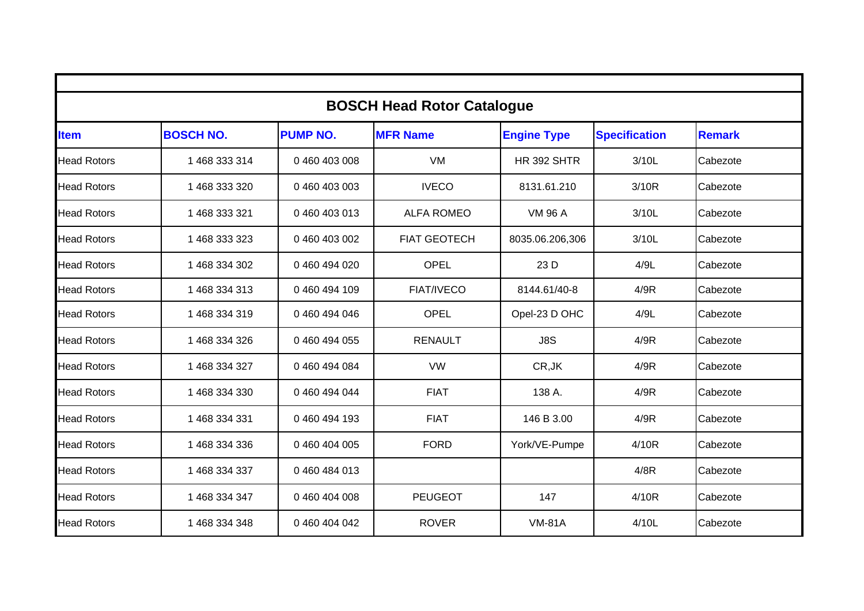| <b>BOSCH Head Rotor Catalogue</b> |                  |                 |                     |                    |                      |               |  |  |  |  |
|-----------------------------------|------------------|-----------------|---------------------|--------------------|----------------------|---------------|--|--|--|--|
| ltem                              | <b>BOSCH NO.</b> | <b>PUMP NO.</b> | <b>MFR Name</b>     | <b>Engine Type</b> | <b>Specification</b> | <b>Remark</b> |  |  |  |  |
| <b>Head Rotors</b>                | 1 468 333 314    | 0 460 403 008   | <b>VM</b>           | <b>HR 392 SHTR</b> | 3/10L                | Cabezote      |  |  |  |  |
| <b>Head Rotors</b>                | 1 468 333 320    | 0 460 403 003   | <b>IVECO</b>        | 8131.61.210        | 3/10R                | Cabezote      |  |  |  |  |
| <b>Head Rotors</b>                | 1 468 333 321    | 0 460 403 013   | <b>ALFA ROMEO</b>   | <b>VM 96 A</b>     | 3/10L                | Cabezote      |  |  |  |  |
| <b>Head Rotors</b>                | 1 468 333 323    | 0 460 403 002   | <b>FIAT GEOTECH</b> | 8035.06.206,306    | 3/10L                | Cabezote      |  |  |  |  |
| <b>Head Rotors</b>                | 1 468 334 302    | 0460494020      | <b>OPEL</b>         | 23 D               | 4/9L                 | Cabezote      |  |  |  |  |
| <b>Head Rotors</b>                | 1 468 334 313    | 0460494109      | <b>FIAT/IVECO</b>   | 8144.61/40-8       | 4/9R                 | Cabezote      |  |  |  |  |
| <b>Head Rotors</b>                | 1468334319       | 0 460 494 046   | <b>OPEL</b>         | Opel-23 D OHC      | 4/9L                 | Cabezote      |  |  |  |  |
| <b>Head Rotors</b>                | 1 468 334 326    | 0 460 494 055   | <b>RENAULT</b>      | J8S                | 4/9R                 | Cabezote      |  |  |  |  |
| <b>Head Rotors</b>                | 1 468 334 327    | 0 460 494 084   | <b>VW</b>           | CR, JK             | 4/9R                 | Cabezote      |  |  |  |  |
| <b>Head Rotors</b>                | 1 468 334 330    | 0 460 494 044   | <b>FIAT</b>         | 138 A.             | 4/9R                 | Cabezote      |  |  |  |  |
| <b>Head Rotors</b>                | 1 468 334 331    | 0 460 494 193   | <b>FIAT</b>         | 146 B 3.00         | 4/9R                 | Cabezote      |  |  |  |  |
| <b>Head Rotors</b>                | 1 468 334 336    | 0 460 404 005   | <b>FORD</b>         | York/VE-Pumpe      | 4/10R                | Cabezote      |  |  |  |  |
| <b>Head Rotors</b>                | 1 468 334 337    | 0460484013      |                     |                    | 4/8R                 | Cabezote      |  |  |  |  |
| <b>Head Rotors</b>                | 1 468 334 347    | 0 460 404 008   | <b>PEUGEOT</b>      | 147                | 4/10R                | Cabezote      |  |  |  |  |
| <b>Head Rotors</b>                | 1 468 334 348    | 0 460 404 042   | <b>ROVER</b>        | <b>VM-81A</b>      | 4/10L                | Cabezote      |  |  |  |  |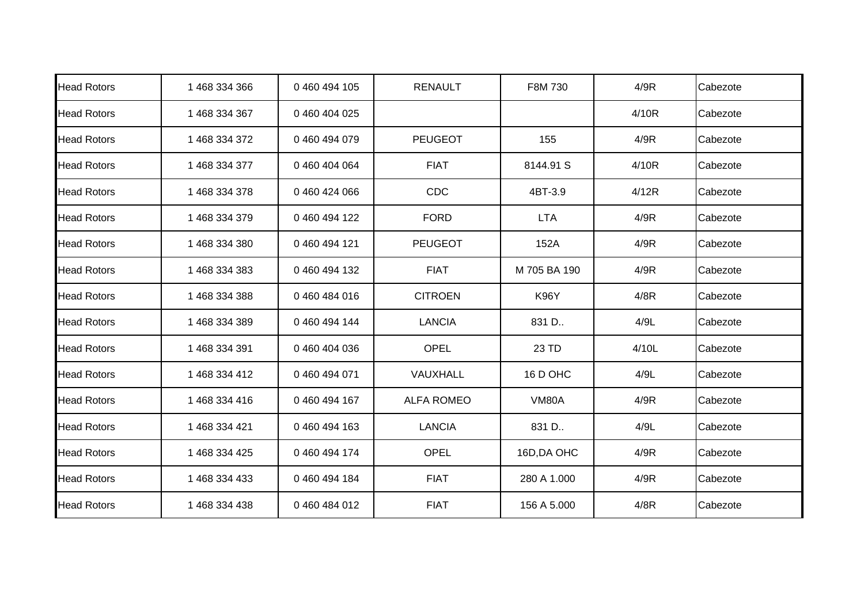| <b>Head Rotors</b> | 1 468 334 366 | 0 460 494 105 | <b>RENAULT</b>    | F8M 730      | 4/9R  | Cabezote |
|--------------------|---------------|---------------|-------------------|--------------|-------|----------|
| <b>Head Rotors</b> | 1 468 334 367 | 0 460 404 025 |                   |              | 4/10R | Cabezote |
| <b>Head Rotors</b> | 1 468 334 372 | 0460494079    | <b>PEUGEOT</b>    | 155          | 4/9R  | Cabezote |
| <b>Head Rotors</b> | 1 468 334 377 | 0 460 404 064 | <b>FIAT</b>       | 8144.91 S    | 4/10R | Cabezote |
| <b>Head Rotors</b> | 1 468 334 378 | 0 460 424 066 | CDC               | 4BT-3.9      | 4/12R | Cabezote |
| <b>Head Rotors</b> | 1 468 334 379 | 0 460 494 122 | <b>FORD</b>       | <b>LTA</b>   | 4/9R  | Cabezote |
| <b>Head Rotors</b> | 1 468 334 380 | 0 460 494 121 | <b>PEUGEOT</b>    | 152A         | 4/9R  | Cabezote |
| <b>Head Rotors</b> | 1 468 334 383 | 0 460 494 132 | <b>FIAT</b>       | M 705 BA 190 | 4/9R  | Cabezote |
| <b>Head Rotors</b> | 1 468 334 388 | 0460484016    | <b>CITROEN</b>    | <b>K96Y</b>  | 4/8R  | Cabezote |
| <b>Head Rotors</b> | 1 468 334 389 | 0460494144    | <b>LANCIA</b>     | 831 D        | 4/9L  | Cabezote |
| <b>Head Rotors</b> | 1 468 334 391 | 0 460 404 036 | OPEL              | 23 TD        | 4/10L | Cabezote |
| <b>Head Rotors</b> | 1 468 334 412 | 0 460 494 071 | VAUXHALL          | 16 D OHC     | 4/9L  | Cabezote |
| <b>Head Rotors</b> | 1468 334 416  | 0 460 494 167 | <b>ALFA ROMEO</b> | <b>VM80A</b> | 4/9R  | Cabezote |
| <b>Head Rotors</b> | 1 468 334 421 | 0 460 494 163 | <b>LANCIA</b>     | 831 D        | 4/9L  | Cabezote |
| <b>Head Rotors</b> | 1 468 334 425 | 0 460 494 174 | <b>OPEL</b>       | 16D, DA OHC  | 4/9R  | Cabezote |
| <b>Head Rotors</b> | 1 468 334 433 | 0 460 494 184 | <b>FIAT</b>       | 280 A 1.000  | 4/9R  | Cabezote |
| <b>Head Rotors</b> | 1 468 334 438 | 0460484012    | <b>FIAT</b>       | 156 A 5.000  | 4/8R  | Cabezote |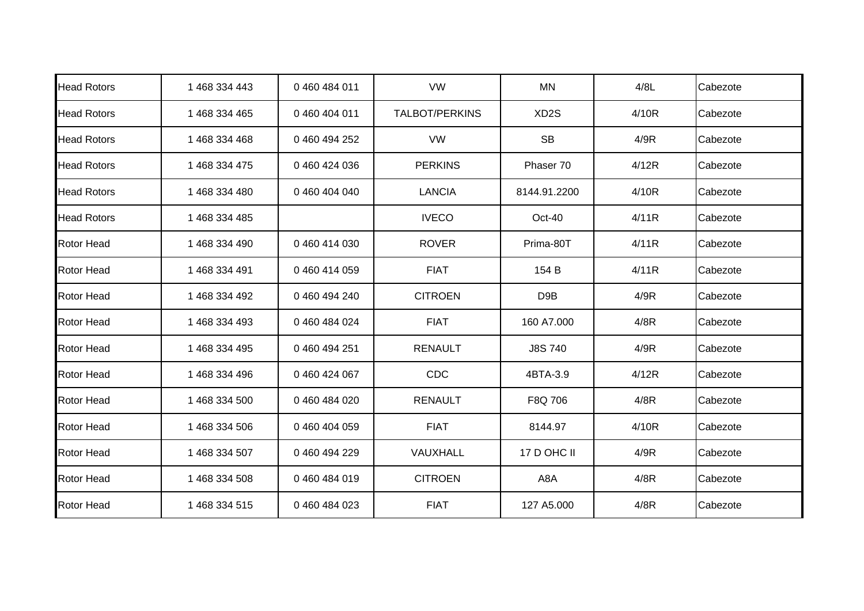| <b>Head Rotors</b> | 1 468 334 443 | 0460484011    | <b>VW</b>             | <b>MN</b>         | 4/8L  | Cabezote |
|--------------------|---------------|---------------|-----------------------|-------------------|-------|----------|
| <b>Head Rotors</b> | 1 468 334 465 | 0 460 404 011 | <b>TALBOT/PERKINS</b> | XD <sub>2</sub> S | 4/10R | Cabezote |
| <b>Head Rotors</b> | 1 468 334 468 | 0 460 494 252 | <b>VW</b>             | <b>SB</b>         | 4/9R  | Cabezote |
| <b>Head Rotors</b> | 1 468 334 475 | 0460424036    | <b>PERKINS</b>        | Phaser 70         | 4/12R | Cabezote |
| <b>Head Rotors</b> | 1 468 334 480 | 0460404040    | <b>LANCIA</b>         | 8144.91.2200      | 4/10R | Cabezote |
| <b>Head Rotors</b> | 1 468 334 485 |               | <b>IVECO</b>          | Oct-40            | 4/11R | Cabezote |
| <b>Rotor Head</b>  | 1 468 334 490 | 0460414030    | <b>ROVER</b>          | Prima-80T         | 4/11R | Cabezote |
| <b>Rotor Head</b>  | 1 468 334 491 | 0460414059    | <b>FIAT</b>           | 154 B             | 4/11R | Cabezote |
| <b>Rotor Head</b>  | 1 468 334 492 | 0 460 494 240 | <b>CITROEN</b>        | D <sub>9</sub> B  | 4/9R  | Cabezote |
| <b>Rotor Head</b>  | 1 468 334 493 | 0460484024    | <b>FIAT</b>           | 160 A7.000        | 4/8R  | Cabezote |
| <b>Rotor Head</b>  | 1 468 334 495 | 0 460 494 251 | <b>RENAULT</b>        | <b>J8S740</b>     | 4/9R  | Cabezote |
| Rotor Head         | 1 468 334 496 | 0 460 424 067 | CDC                   | 4BTA-3.9          | 4/12R | Cabezote |
| <b>Rotor Head</b>  | 1 468 334 500 | 0 460 484 020 | <b>RENAULT</b>        | F8Q 706           | 4/8R  | Cabezote |
| <b>Rotor Head</b>  | 1 468 334 506 | 0460404059    | <b>FIAT</b>           | 8144.97           | 4/10R | Cabezote |
| <b>Rotor Head</b>  | 1 468 334 507 | 0460494229    | VAUXHALL              | 17 D OHC II       | 4/9R  | Cabezote |
| <b>Rotor Head</b>  | 1 468 334 508 | 0460484019    | <b>CITROEN</b>        | A8A               | 4/8R  | Cabezote |
| <b>Rotor Head</b>  | 1 468 334 515 | 0460484023    | <b>FIAT</b>           | 127 A5.000        | 4/8R  | Cabezote |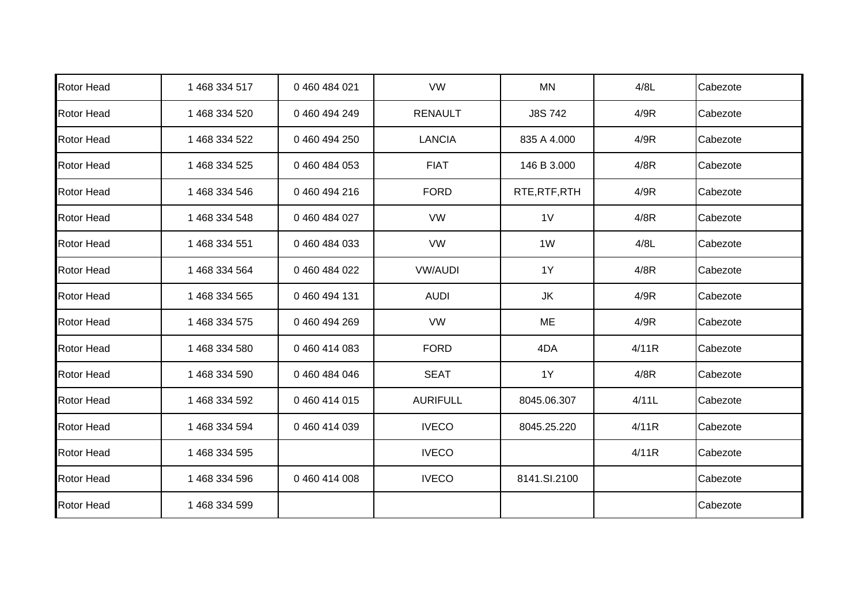| <b>Rotor Head</b> | 1 468 334 517 | 0 460 484 021 | <b>VW</b>       | <b>MN</b>      | 4/8L  | Cabezote |
|-------------------|---------------|---------------|-----------------|----------------|-------|----------|
| <b>Rotor Head</b> | 1 468 334 520 | 0460494249    | <b>RENAULT</b>  | <b>J8S742</b>  | 4/9R  | Cabezote |
| <b>Rotor Head</b> | 1 468 334 522 | 0 460 494 250 | <b>LANCIA</b>   | 835 A 4.000    | 4/9R  | Cabezote |
| <b>Rotor Head</b> | 1 468 334 525 | 0460484053    | <b>FIAT</b>     | 146 B 3.000    | 4/8R  | Cabezote |
| <b>Rotor Head</b> | 1 468 334 546 | 0 460 494 216 | <b>FORD</b>     | RTE, RTF, RTH  | 4/9R  | Cabezote |
| <b>Rotor Head</b> | 1 468 334 548 | 0460484027    | <b>VW</b>       | 1 <sub>V</sub> | 4/8R  | Cabezote |
| <b>Rotor Head</b> | 1 468 334 551 | 0 460 484 033 | <b>VW</b>       | 1W             | 4/8L  | Cabezote |
| <b>Rotor Head</b> | 1 468 334 564 | 0 460 484 022 | <b>VW/AUDI</b>  | 1Y             | 4/8R  | Cabezote |
| <b>Rotor Head</b> | 1 468 334 565 | 0 460 494 131 | <b>AUDI</b>     | JK             | 4/9R  | Cabezote |
| <b>Rotor Head</b> | 1 468 334 575 | 0460494269    | <b>VW</b>       | ME             | 4/9R  | Cabezote |
| <b>Rotor Head</b> | 1 468 334 580 | 0 460 414 083 | <b>FORD</b>     | 4DA            | 4/11R | Cabezote |
| <b>Rotor Head</b> | 1 468 334 590 | 0460484046    | <b>SEAT</b>     | 1Y             | 4/8R  | Cabezote |
| <b>Rotor Head</b> | 1 468 334 592 | 0 460 414 015 | <b>AURIFULL</b> | 8045.06.307    | 4/11L | Cabezote |
| <b>Rotor Head</b> | 1 468 334 594 | 0 460 414 039 | <b>IVECO</b>    | 8045.25.220    | 4/11R | Cabezote |
| <b>Rotor Head</b> | 1 468 334 595 |               | <b>IVECO</b>    |                | 4/11R | Cabezote |
| <b>Rotor Head</b> | 1 468 334 596 | 0 460 414 008 | <b>IVECO</b>    | 8141.SI.2100   |       | Cabezote |
| <b>Rotor Head</b> | 1 468 334 599 |               |                 |                |       | Cabezote |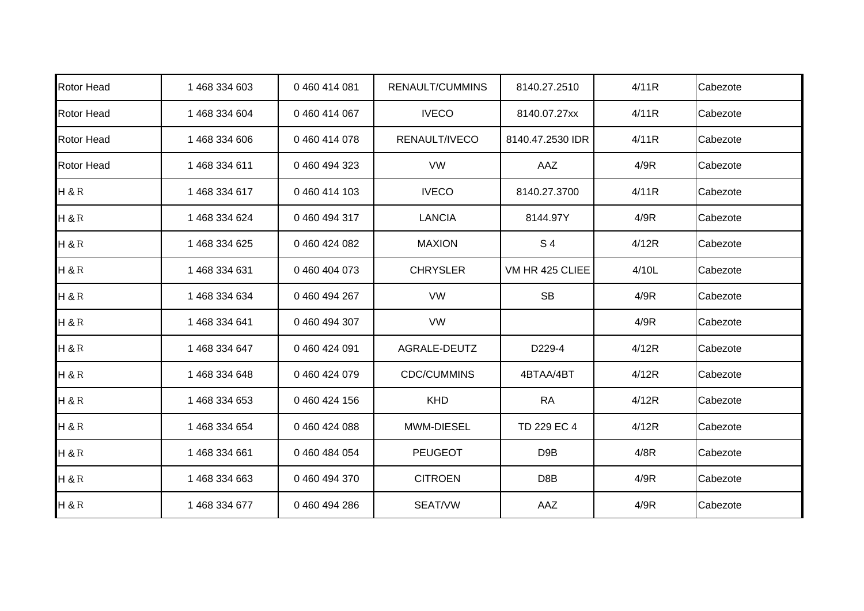| <b>Rotor Head</b> | 1 468 334 603 | 0460414081    | RENAULT/CUMMINS    | 8140.27.2510     | 4/11R | Cabezote |
|-------------------|---------------|---------------|--------------------|------------------|-------|----------|
| <b>Rotor Head</b> | 1 468 334 604 | 0 460 414 067 | <b>IVECO</b>       | 8140.07.27xx     | 4/11R | Cabezote |
| <b>Rotor Head</b> | 1 468 334 606 | 0460414078    | RENAULT/IVECO      | 8140.47.2530 IDR | 4/11R | Cabezote |
| <b>Rotor Head</b> | 1468 334 611  | 0 460 494 323 | <b>VW</b>          | AAZ              | 4/9R  | Cabezote |
| $H$ &R            | 1 468 334 617 | 0460414103    | <b>IVECO</b>       | 8140.27.3700     | 4/11R | Cabezote |
| H & R R           | 1 468 334 624 | 0460494317    | <b>LANCIA</b>      | 8144.97Y         | 4/9R  | Cabezote |
| H & R R           | 1 468 334 625 | 0460424082    | <b>MAXION</b>      | S <sub>4</sub>   | 4/12R | Cabezote |
| H & R             | 1 468 334 631 | 0460404073    | <b>CHRYSLER</b>    | VM HR 425 CLIEE  | 4/10L | Cabezote |
| $H$ &R            | 1 468 334 634 | 0 460 494 267 | <b>VW</b>          | <b>SB</b>        | 4/9R  | Cabezote |
| H & R R           | 1 468 334 641 | 0460494307    | VW                 |                  | 4/9R  | Cabezote |
| H & R R           | 1 468 334 647 | 0 460 424 091 | AGRALE-DEUTZ       | D229-4           | 4/12R | Cabezote |
| H & R R           | 1 468 334 648 | 0460424079    | <b>CDC/CUMMINS</b> | 4BTAA/4BT        | 4/12R | Cabezote |
| $H$ &R            | 1 468 334 653 | 0460424156    | <b>KHD</b>         | <b>RA</b>        | 4/12R | Cabezote |
| H & R R           | 1 468 334 654 | 0460424088    | MWM-DIESEL         | TD 229 EC 4      | 4/12R | Cabezote |
| $H$ &R            | 1 468 334 661 | 0460484054    | <b>PEUGEOT</b>     | D <sub>9</sub> B | 4/8R  | Cabezote |
| $H$ &R            | 1 468 334 663 | 0460494370    | <b>CITROEN</b>     | D8B              | 4/9R  | Cabezote |
| $H$ &R            | 1 468 334 677 | 0460494286    | SEAT/VW            | AAZ              | 4/9R  | Cabezote |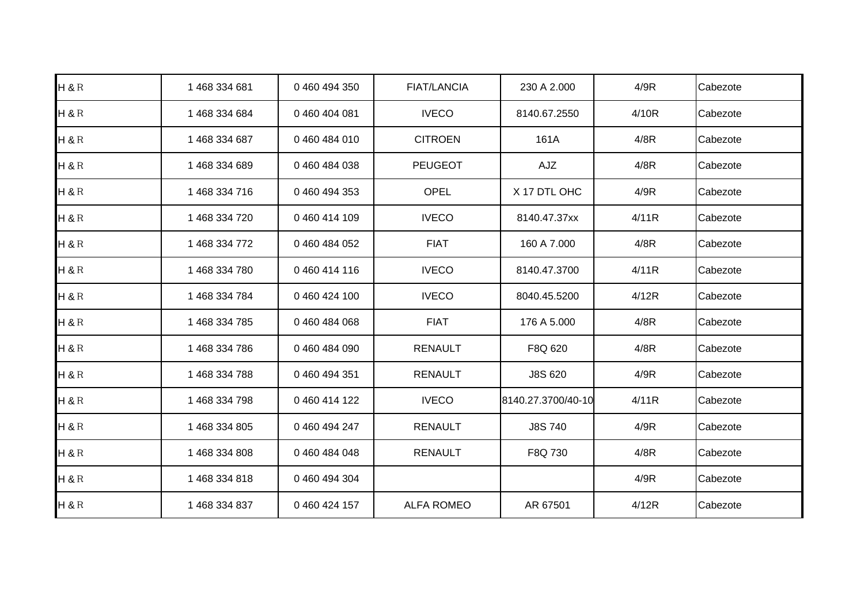| $H$ &R  | 1 468 334 681 | 0 460 494 350 | <b>FIAT/LANCIA</b> | 230 A 2.000        | 4/9R  | Cabezote |
|---------|---------------|---------------|--------------------|--------------------|-------|----------|
| H & R R | 1 468 334 684 | 0 460 404 081 | <b>IVECO</b>       | 8140.67.2550       | 4/10R | Cabezote |
| H&R     | 1 468 334 687 | 0460484010    | <b>CITROEN</b>     | 161A               | 4/8R  | Cabezote |
| H&R     | 1 468 334 689 | 0460484038    | <b>PEUGEOT</b>     | AJZ                | 4/8R  | Cabezote |
| H & R R | 1 468 334 716 | 0 460 494 353 | <b>OPEL</b>        | X 17 DTL OHC       | 4/9R  | Cabezote |
| H&R     | 1 468 334 720 | 0460414109    | <b>IVECO</b>       | 8140.47.37xx       | 4/11R | Cabezote |
| $H$ &R  | 1 468 334 772 | 0 460 484 052 | <b>FIAT</b>        | 160 A 7.000        | 4/8R  | Cabezote |
| $H$ &R  | 1 468 334 780 | 0460414116    | <b>IVECO</b>       | 8140.47.3700       | 4/11R | Cabezote |
| $H$ &R  | 1 468 334 784 | 0460424100    | <b>IVECO</b>       | 8040.45.5200       | 4/12R | Cabezote |
| H&R     | 1 468 334 785 | 0460484068    | <b>FIAT</b>        | 176 A 5.000        | 4/8R  | Cabezote |
| $H$ &R  | 1 468 334 786 | 0460484090    | <b>RENAULT</b>     | F8Q 620            | 4/8R  | Cabezote |
| H & R R | 1 468 334 788 | 0 460 494 351 | <b>RENAULT</b>     | J8S 620            | 4/9R  | Cabezote |
| $H$ &R  | 1 468 334 798 | 0 460 414 122 | <b>IVECO</b>       | 8140.27.3700/40-10 | 4/11R | Cabezote |
| H&R     | 1 468 334 805 | 0 460 494 247 | <b>RENAULT</b>     | <b>J8S740</b>      | 4/9R  | Cabezote |
| $H$ &R  | 1 468 334 808 | 0460484048    | <b>RENAULT</b>     | F8Q 730            | 4/8R  | Cabezote |
| $H$ &R  | 1 468 334 818 | 0 460 494 304 |                    |                    | 4/9R  | Cabezote |
| $H$ &R  | 1 468 334 837 | 0 460 424 157 | <b>ALFA ROMEO</b>  | AR 67501           | 4/12R | Cabezote |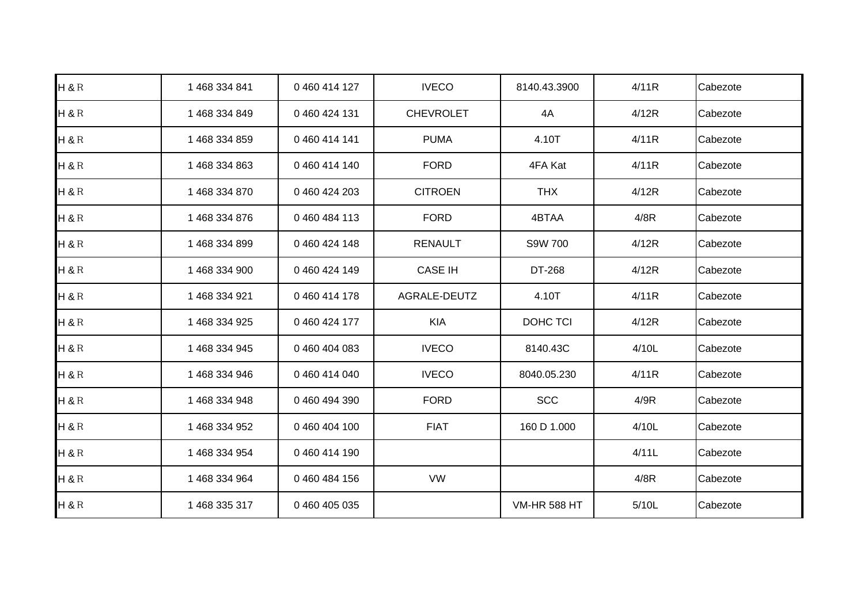| $H$ &R  | 1 468 334 841 | 0 460 414 127 | <b>IVECO</b>     | 8140.43.3900        | 4/11R | Cabezote |
|---------|---------------|---------------|------------------|---------------------|-------|----------|
| H&R     | 1 468 334 849 | 0 460 424 131 | <b>CHEVROLET</b> | 4A                  | 4/12R | Cabezote |
| $H$ &R  | 1 468 334 859 | 0 460 414 141 | <b>PUMA</b>      | 4.10T               | 4/11R | Cabezote |
| $H$ &R  | 1 468 334 863 | 0460414140    | <b>FORD</b>      | 4FA Kat             | 4/11R | Cabezote |
| H&R     | 1 468 334 870 | 0 460 424 203 | <b>CITROEN</b>   | <b>THX</b>          | 4/12R | Cabezote |
| H&R     | 1 468 334 876 | 0460484113    | <b>FORD</b>      | 4BTAA               | 4/8R  | Cabezote |
| H & R R | 1 468 334 899 | 0 460 424 148 | <b>RENAULT</b>   | S9W 700             | 4/12R | Cabezote |
| $H$ &R  | 1 468 334 900 | 0 460 424 149 | <b>CASE IH</b>   | DT-268              | 4/12R | Cabezote |
| $H$ &R  | 1 468 334 921 | 0 460 414 178 | AGRALE-DEUTZ     | 4.10T               | 4/11R | Cabezote |
| $H$ &R  | 1 468 334 925 | 0 460 424 177 | <b>KIA</b>       | DOHC TCI            | 4/12R | Cabezote |
| H&R     | 1 468 334 945 | 0460404083    | <b>IVECO</b>     | 8140.43C            | 4/10L | Cabezote |
| H&R     | 1 468 334 946 | 0460414040    | <b>IVECO</b>     | 8040.05.230         | 4/11R | Cabezote |
| $H$ &R  | 1 468 334 948 | 0460494390    | <b>FORD</b>      | <b>SCC</b>          | 4/9R  | Cabezote |
| $H$ &R  | 1 468 334 952 | 0 460 404 100 | <b>FIAT</b>      | 160 D 1.000         | 4/10L | Cabezote |
| $H$ &R  | 1 468 334 954 | 0460414190    |                  |                     | 4/11L | Cabezote |
| $H$ &R  | 1 468 334 964 | 0 460 484 156 | <b>VW</b>        |                     | 4/8R  | Cabezote |
| $H$ &R  | 1 468 335 317 | 0 460 405 035 |                  | <b>VM-HR 588 HT</b> | 5/10L | Cabezote |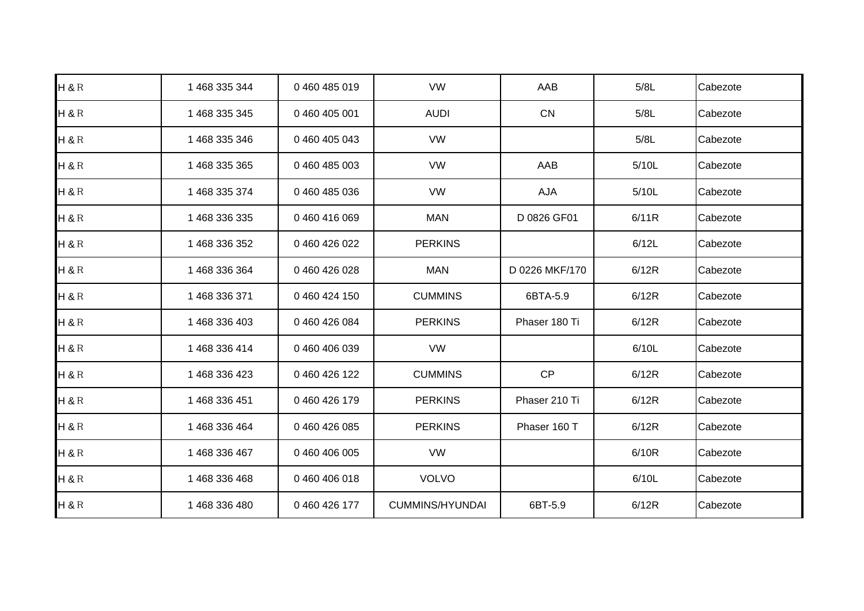| $H$ &R  | 1 468 335 344 | 0460485019    | <b>VW</b>              | AAB            | 5/8L  | Cabezote |
|---------|---------------|---------------|------------------------|----------------|-------|----------|
| H & R R | 1 468 335 345 | 0 460 405 001 | <b>AUDI</b>            | CN             | 5/8L  | Cabezote |
| $H$ &R  | 1 468 335 346 | 0 460 405 043 | <b>VW</b>              |                | 5/8L  | Cabezote |
| H&R     | 1 468 335 365 | 0 460 485 003 | <b>VW</b>              | AAB            | 5/10L | Cabezote |
| $H$ &R  | 1 468 335 374 | 0460485036    | <b>VW</b>              | AJA            | 5/10L | Cabezote |
| H&R     | 1 468 336 335 | 0460416069    | <b>MAN</b>             | D 0826 GF01    | 6/11R | Cabezote |
| H & R R | 1 468 336 352 | 0 460 426 022 | <b>PERKINS</b>         |                | 6/12L | Cabezote |
| H & R R | 1 468 336 364 | 0 460 426 028 | <b>MAN</b>             | D 0226 MKF/170 | 6/12R | Cabezote |
| H & R R | 1 468 336 371 | 0 460 424 150 | <b>CUMMINS</b>         | 6BTA-5.9       | 6/12R | Cabezote |
| H&R     | 1 468 336 403 | 0460426084    | <b>PERKINS</b>         | Phaser 180 Ti  | 6/12R | Cabezote |
| $H$ &R  | 1 468 336 414 | 0 460 406 039 | <b>VW</b>              |                | 6/10L | Cabezote |
| H & R R | 1 468 336 423 | 0 460 426 122 | <b>CUMMINS</b>         | CP             | 6/12R | Cabezote |
| $H$ &R  | 1 468 336 451 | 0 460 426 179 | <b>PERKINS</b>         | Phaser 210 Ti  | 6/12R | Cabezote |
| $H$ &R  | 1 468 336 464 | 0 460 426 085 | <b>PERKINS</b>         | Phaser 160 T   | 6/12R | Cabezote |
| $H$ &R  | 1 468 336 467 | 0 460 406 005 | VW                     |                | 6/10R | Cabezote |
| $H$ &R  | 1 468 336 468 | 0 460 406 018 | <b>VOLVO</b>           |                | 6/10L | Cabezote |
| H&R     | 1468336480    | 0460426177    | <b>CUMMINS/HYUNDAI</b> | 6BT-5.9        | 6/12R | Cabezote |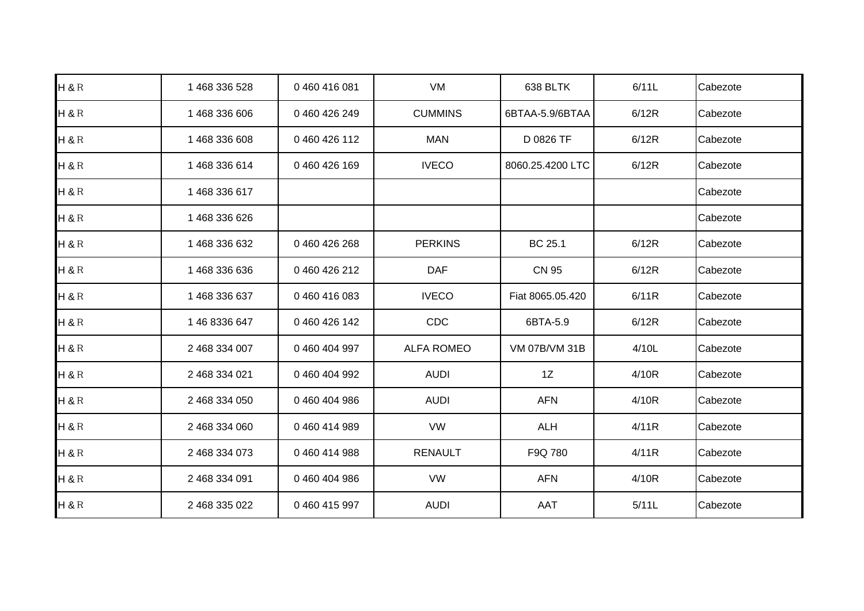| $H$ &R  | 1 468 336 528 | 0460416081    | VM                | 638 BLTK         | 6/11L | Cabezote |
|---------|---------------|---------------|-------------------|------------------|-------|----------|
| $H$ &R  | 1 468 336 606 | 0 460 426 249 | <b>CUMMINS</b>    | 6BTAA-5.9/6BTAA  | 6/12R | Cabezote |
| $H$ &R  | 1 468 336 608 | 0 460 426 112 | <b>MAN</b>        | D 0826 TF        | 6/12R | Cabezote |
| $H$ &R  | 1 468 336 614 | 0460426169    | <b>IVECO</b>      | 8060.25.4200 LTC | 6/12R | Cabezote |
| $H$ &R  | 1 468 336 617 |               |                   |                  |       | Cabezote |
| H&R     | 1 468 336 626 |               |                   |                  |       | Cabezote |
| H & R R | 1 468 336 632 | 0460426268    | <b>PERKINS</b>    | BC 25.1          | 6/12R | Cabezote |
| H & R R | 1 468 336 636 | 0 460 426 212 | <b>DAF</b>        | <b>CN 95</b>     | 6/12R | Cabezote |
| $H$ &R  | 1 468 336 637 | 0460416083    | <b>IVECO</b>      | Fiat 8065.05.420 | 6/11R | Cabezote |
| $H$ &R  | 1 46 8336 647 | 0 460 426 142 | <b>CDC</b>        | 6BTA-5.9         | 6/12R | Cabezote |
| $H$ &R  | 2 468 334 007 | 0 460 404 997 | <b>ALFA ROMEO</b> | VM 07B/VM 31B    | 4/10L | Cabezote |
| H & R R | 2 468 334 021 | 0 460 404 992 | <b>AUDI</b>       | 1Z               | 4/10R | Cabezote |
| $H$ &R  | 2 468 334 050 | 0460404986    | <b>AUDI</b>       | <b>AFN</b>       | 4/10R | Cabezote |
| $H$ &R  | 2 468 334 060 | 0460414989    | <b>VW</b>         | <b>ALH</b>       | 4/11R | Cabezote |
| $H$ &R  | 2 468 334 073 | 0460414988    | <b>RENAULT</b>    | F9Q 780          | 4/11R | Cabezote |
| H & R R | 2 468 334 091 | 0 460 404 986 | <b>VW</b>         | <b>AFN</b>       | 4/10R | Cabezote |
| H&R     | 2 468 335 022 | 0460415997    | <b>AUDI</b>       | <b>AAT</b>       | 5/11L | Cabezote |